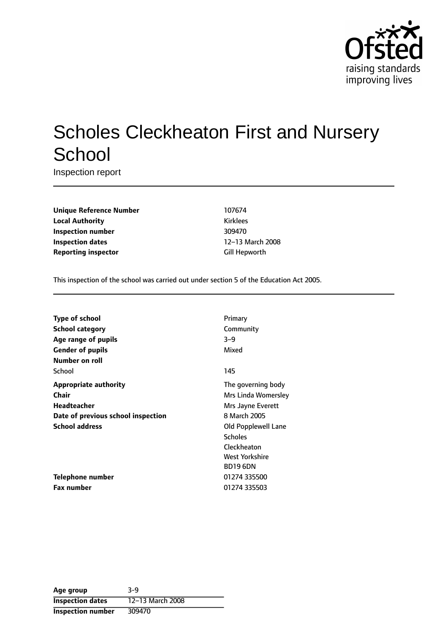

# Scholes Cleckheaton First and Nursery **School**

Inspection report

**Unique Reference Number** 107674 **Local Authority Kirklees Inspection number** 309470 **Inspection dates** 12-13 March 2008 **Reporting inspector** Gill Hepworth

This inspection of the school was carried out under section 5 of the Education Act 2005.

| Type of school                     | Primary             |
|------------------------------------|---------------------|
| <b>School category</b>             | Community           |
| Age range of pupils                | $3 - 9$             |
| <b>Gender of pupils</b>            | Mixed               |
| Number on roll                     |                     |
| School                             | 145                 |
| <b>Appropriate authority</b>       | The governing body  |
| <b>Chair</b>                       | Mrs Linda Womersley |
| Headteacher                        | Mrs Jayne Everett   |
| Date of previous school inspection | 8 March 2005        |
| <b>School address</b>              | Old Popplewell Lane |
|                                    | <b>Scholes</b>      |
|                                    | Cleckheaton         |
|                                    | West Yorkshire      |
|                                    | <b>BD19 6DN</b>     |
| <b>Telephone number</b>            | 01274 335500        |
| <b>Fax number</b>                  | 01274 335503        |

| Age group                | $3-9$            |
|--------------------------|------------------|
| <b>Inspection dates</b>  | 12-13 March 2008 |
| <b>Inspection number</b> | 309470           |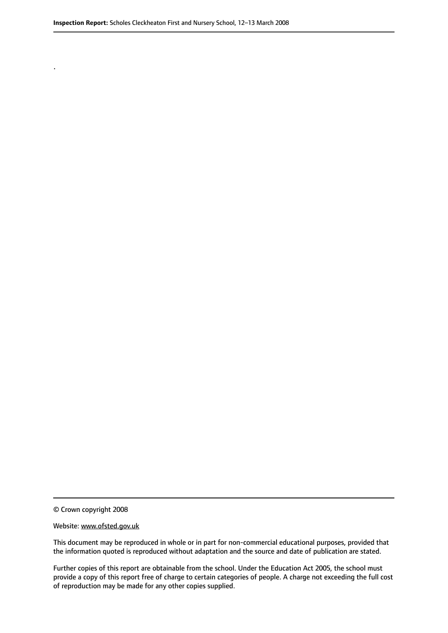© Crown copyright 2008

.

#### Website: www.ofsted.gov.uk

This document may be reproduced in whole or in part for non-commercial educational purposes, provided that the information quoted is reproduced without adaptation and the source and date of publication are stated.

Further copies of this report are obtainable from the school. Under the Education Act 2005, the school must provide a copy of this report free of charge to certain categories of people. A charge not exceeding the full cost of reproduction may be made for any other copies supplied.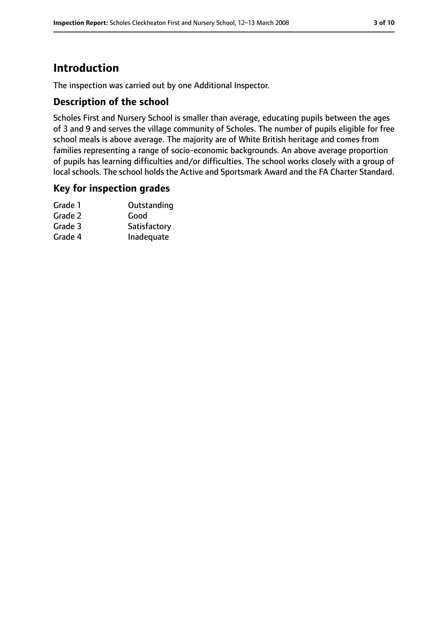# **Introduction**

The inspection was carried out by one Additional Inspector.

## **Description of the school**

Scholes First and Nursery School is smaller than average, educating pupils between the ages of 3 and 9 and serves the village community of Scholes. The number of pupils eligible for free school meals is above average. The majority are of White British heritage and comes from families representing a range of socio-economic backgrounds. An above average proportion of pupils has learning difficulties and/or difficulties. The school works closely with a group of local schools. The school holds the Active and Sportsmark Award and the FA Charter Standard.

#### **Key for inspection grades**

| Grade 1 | Outstanding  |
|---------|--------------|
| Grade 2 | Good         |
| Grade 3 | Satisfactory |
| Grade 4 | Inadequate   |
|         |              |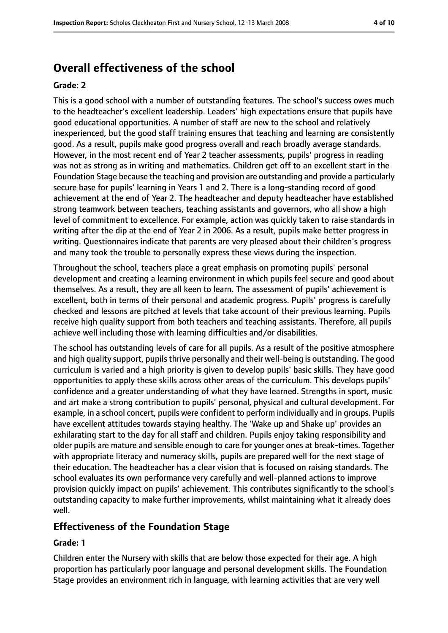# **Overall effectiveness of the school**

#### **Grade: 2**

This is a good school with a number of outstanding features. The school's success owes much to the headteacher's excellent leadership. Leaders' high expectations ensure that pupils have good educational opportunities. A number of staff are new to the school and relatively inexperienced, but the good staff training ensures that teaching and learning are consistently good. As a result, pupils make good progress overall and reach broadly average standards. However, in the most recent end of Year 2 teacher assessments, pupils' progress in reading was not as strong as in writing and mathematics. Children get off to an excellent start in the Foundation Stage because the teaching and provision are outstanding and provide a particularly secure base for pupils' learning in Years 1 and 2. There is a long-standing record of good achievement at the end of Year 2. The headteacher and deputy headteacher have established strong teamwork between teachers, teaching assistants and governors, who all show a high level of commitment to excellence. For example, action was quickly taken to raise standards in writing after the dip at the end of Year 2 in 2006. As a result, pupils make better progress in writing. Questionnaires indicate that parents are very pleased about their children's progress and many took the trouble to personally express these views during the inspection.

Throughout the school, teachers place a great emphasis on promoting pupils' personal development and creating a learning environment in which pupils feel secure and good about themselves. As a result, they are all keen to learn. The assessment of pupils' achievement is excellent, both in terms of their personal and academic progress. Pupils' progress is carefully checked and lessons are pitched at levels that take account of their previous learning. Pupils receive high quality support from both teachers and teaching assistants. Therefore, all pupils achieve well including those with learning difficulties and/or disabilities.

The school has outstanding levels of care for all pupils. As a result of the positive atmosphere and high quality support, pupils thrive personally and their well-being is outstanding. The good curriculum is varied and a high priority is given to develop pupils' basic skills. They have good opportunities to apply these skills across other areas of the curriculum. This develops pupils' confidence and a greater understanding of what they have learned. Strengths in sport, music and art make a strong contribution to pupils' personal, physical and cultural development. For example, in a school concert, pupils were confident to perform individually and in groups. Pupils have excellent attitudes towards staying healthy. The 'Wake up and Shake up' provides an exhilarating start to the day for all staff and children. Pupils enjoy taking responsibility and older pupils are mature and sensible enough to care for younger ones at break-times. Together with appropriate literacy and numeracy skills, pupils are prepared well for the next stage of their education. The headteacher has a clear vision that is focused on raising standards. The school evaluates its own performance very carefully and well-planned actions to improve provision quickly impact on pupils' achievement. This contributes significantly to the school's outstanding capacity to make further improvements, whilst maintaining what it already does well.

## **Effectiveness of the Foundation Stage**

#### **Grade: 1**

Children enter the Nursery with skills that are below those expected for their age. A high proportion has particularly poor language and personal development skills. The Foundation Stage provides an environment rich in language, with learning activities that are very well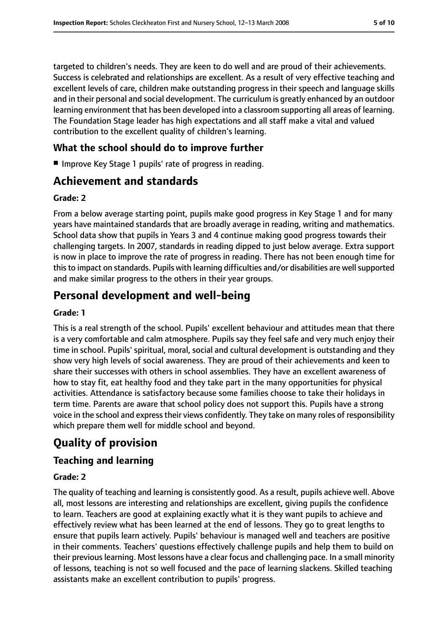targeted to children's needs. They are keen to do well and are proud of their achievements. Success is celebrated and relationships are excellent. As a result of very effective teaching and excellent levels of care, children make outstanding progress in their speech and language skills and in their personal and social development. The curriculum is greatly enhanced by an outdoor learning environment that has been developed into a classroom supporting all areas of learning. The Foundation Stage leader has high expectations and all staff make a vital and valued contribution to the excellent quality of children's learning.

# **What the school should do to improve further**

■ Improve Key Stage 1 pupils' rate of progress in reading.

# **Achievement and standards**

#### **Grade: 2**

From a below average starting point, pupils make good progress in Key Stage 1 and for many years have maintained standards that are broadly average in reading, writing and mathematics. School data show that pupils in Years 3 and 4 continue making good progress towards their challenging targets. In 2007, standards in reading dipped to just below average. Extra support is now in place to improve the rate of progress in reading. There has not been enough time for this to impact on standards. Pupils with learning difficulties and/or disabilities are well supported and make similar progress to the others in their year groups.

# **Personal development and well-being**

#### **Grade: 1**

This is a real strength of the school. Pupils' excellent behaviour and attitudes mean that there is a very comfortable and calm atmosphere. Pupils say they feel safe and very much enjoy their time in school. Pupils' spiritual, moral, social and cultural development is outstanding and they show very high levels of social awareness. They are proud of their achievements and keen to share their successes with others in school assemblies. They have an excellent awareness of how to stay fit, eat healthy food and they take part in the many opportunities for physical activities. Attendance is satisfactory because some families choose to take their holidays in term time. Parents are aware that school policy does not support this. Pupils have a strong voice in the school and express their views confidently. They take on many roles of responsibility which prepare them well for middle school and beyond.

# **Quality of provision**

## **Teaching and learning**

#### **Grade: 2**

The quality of teaching and learning is consistently good. As a result, pupils achieve well. Above all, most lessons are interesting and relationships are excellent, giving pupils the confidence to learn. Teachers are good at explaining exactly what it is they want pupils to achieve and effectively review what has been learned at the end of lessons. They go to great lengths to ensure that pupils learn actively. Pupils' behaviour is managed well and teachers are positive in their comments. Teachers' questions effectively challenge pupils and help them to build on their previouslearning. Most lessons have a clear focus and challenging pace. In a small minority of lessons, teaching is not so well focused and the pace of learning slackens. Skilled teaching assistants make an excellent contribution to pupils' progress.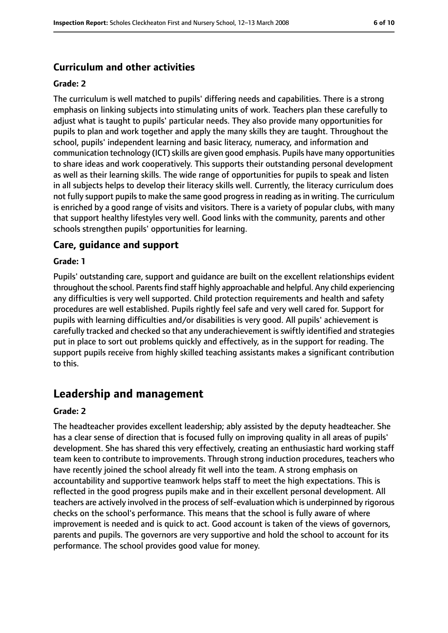## **Curriculum and other activities**

#### **Grade: 2**

The curriculum is well matched to pupils' differing needs and capabilities. There is a strong emphasis on linking subjects into stimulating units of work. Teachers plan these carefully to adjust what is taught to pupils' particular needs. They also provide many opportunities for pupils to plan and work together and apply the many skills they are taught. Throughout the school, pupils' independent learning and basic literacy, numeracy, and information and communication technology (ICT) skills are given good emphasis. Pupils have many opportunities to share ideas and work cooperatively. This supports their outstanding personal development as well as their learning skills. The wide range of opportunities for pupils to speak and listen in all subjects helps to develop their literacy skills well. Currently, the literacy curriculum does not fully support pupils to make the same good progress in reading as in writing. The curriculum is enriched by a good range of visits and visitors. There is a variety of popular clubs, with many that support healthy lifestyles very well. Good links with the community, parents and other schools strengthen pupils' opportunities for learning.

## **Care, guidance and support**

#### **Grade: 1**

Pupils' outstanding care, support and guidance are built on the excellent relationships evident throughout the school. Parents find staff highly approachable and helpful. Any child experiencing any difficulties is very well supported. Child protection requirements and health and safety procedures are well established. Pupils rightly feel safe and very well cared for. Support for pupils with learning difficulties and/or disabilities is very good. All pupils' achievement is carefully tracked and checked so that any underachievement is swiftly identified and strategies put in place to sort out problems quickly and effectively, as in the support for reading. The support pupils receive from highly skilled teaching assistants makes a significant contribution to this.

# **Leadership and management**

#### **Grade: 2**

The headteacher provides excellent leadership; ably assisted by the deputy headteacher. She has a clear sense of direction that is focused fully on improving quality in all areas of pupils' development. She has shared this very effectively, creating an enthusiastic hard working staff team keen to contribute to improvements. Through strong induction procedures, teachers who have recently joined the school already fit well into the team. A strong emphasis on accountability and supportive teamwork helps staff to meet the high expectations. This is reflected in the good progress pupils make and in their excellent personal development. All teachers are actively involved in the process of self-evaluation which is underpinned by rigorous checks on the school's performance. This means that the school is fully aware of where improvement is needed and is quick to act. Good account is taken of the views of governors, parents and pupils. The governors are very supportive and hold the school to account for its performance. The school provides good value for money.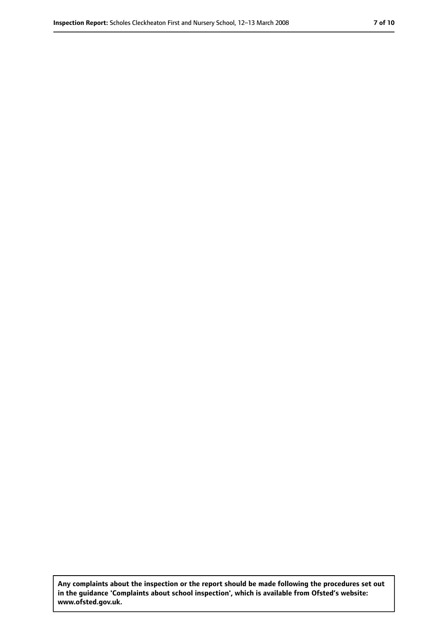**Any complaints about the inspection or the report should be made following the procedures set out in the guidance 'Complaints about school inspection', which is available from Ofsted's website: www.ofsted.gov.uk.**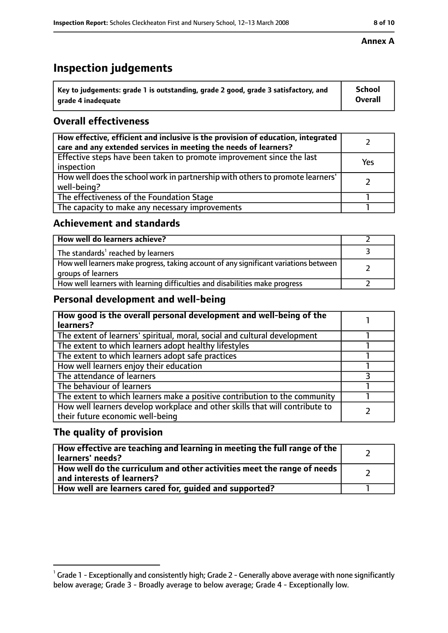# **Inspection judgements**

| $^{\backprime}$ Key to judgements: grade 1 is outstanding, grade 2 good, grade 3 satisfactory, and | <b>School</b>  |
|----------------------------------------------------------------------------------------------------|----------------|
| arade 4 inadeguate                                                                                 | <b>Overall</b> |

# **Overall effectiveness**

| How effective, efficient and inclusive is the provision of education, integrated<br>care and any extended services in meeting the needs of learners? |     |
|------------------------------------------------------------------------------------------------------------------------------------------------------|-----|
| Effective steps have been taken to promote improvement since the last<br>inspection                                                                  | Yes |
| How well does the school work in partnership with others to promote learners'<br>well-being?                                                         |     |
| The effectiveness of the Foundation Stage                                                                                                            |     |
| The capacity to make any necessary improvements                                                                                                      |     |

## **Achievement and standards**

| How well do learners achieve?                                                                               |  |
|-------------------------------------------------------------------------------------------------------------|--|
| The standards <sup>1</sup> reached by learners                                                              |  |
| How well learners make progress, taking account of any significant variations between<br>groups of learners |  |
| How well learners with learning difficulties and disabilities make progress                                 |  |

## **Personal development and well-being**

| How good is the overall personal development and well-being of the<br>learners?                                  |  |
|------------------------------------------------------------------------------------------------------------------|--|
| The extent of learners' spiritual, moral, social and cultural development                                        |  |
| The extent to which learners adopt healthy lifestyles                                                            |  |
| The extent to which learners adopt safe practices                                                                |  |
| How well learners enjoy their education                                                                          |  |
| The attendance of learners                                                                                       |  |
| The behaviour of learners                                                                                        |  |
| The extent to which learners make a positive contribution to the community                                       |  |
| How well learners develop workplace and other skills that will contribute to<br>their future economic well-being |  |

## **The quality of provision**

| How effective are teaching and learning in meeting the full range of the<br>learners' needs?          |  |
|-------------------------------------------------------------------------------------------------------|--|
| How well do the curriculum and other activities meet the range of needs<br>and interests of learners? |  |
| How well are learners cared for, quided and supported?                                                |  |

#### **Annex A**

 $^1$  Grade 1 - Exceptionally and consistently high; Grade 2 - Generally above average with none significantly below average; Grade 3 - Broadly average to below average; Grade 4 - Exceptionally low.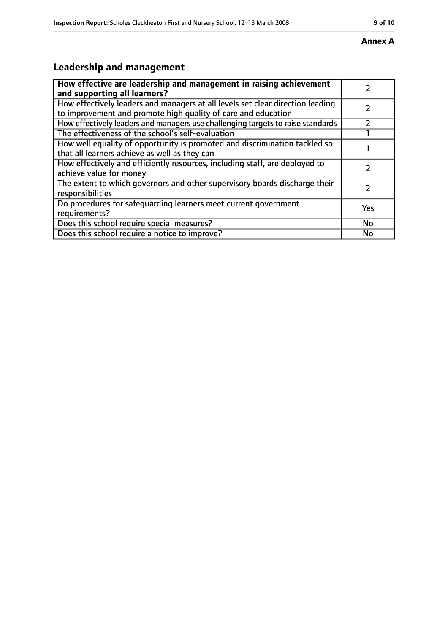# **Leadership and management**

| How effective are leadership and management in raising achievement              |           |
|---------------------------------------------------------------------------------|-----------|
| and supporting all learners?                                                    |           |
| How effectively leaders and managers at all levels set clear direction leading  |           |
| to improvement and promote high quality of care and education                   |           |
| How effectively leaders and managers use challenging targets to raise standards |           |
| The effectiveness of the school's self-evaluation                               |           |
| How well equality of opportunity is promoted and discrimination tackled so      |           |
| that all learners achieve as well as they can                                   |           |
| How effectively and efficiently resources, including staff, are deployed to     |           |
| achieve value for money                                                         |           |
| The extent to which governors and other supervisory boards discharge their      |           |
| responsibilities                                                                |           |
| Do procedures for safequarding learners meet current government                 | Yes       |
| requirements?                                                                   |           |
| Does this school require special measures?                                      | <b>No</b> |
| Does this school require a notice to improve?                                   | No        |